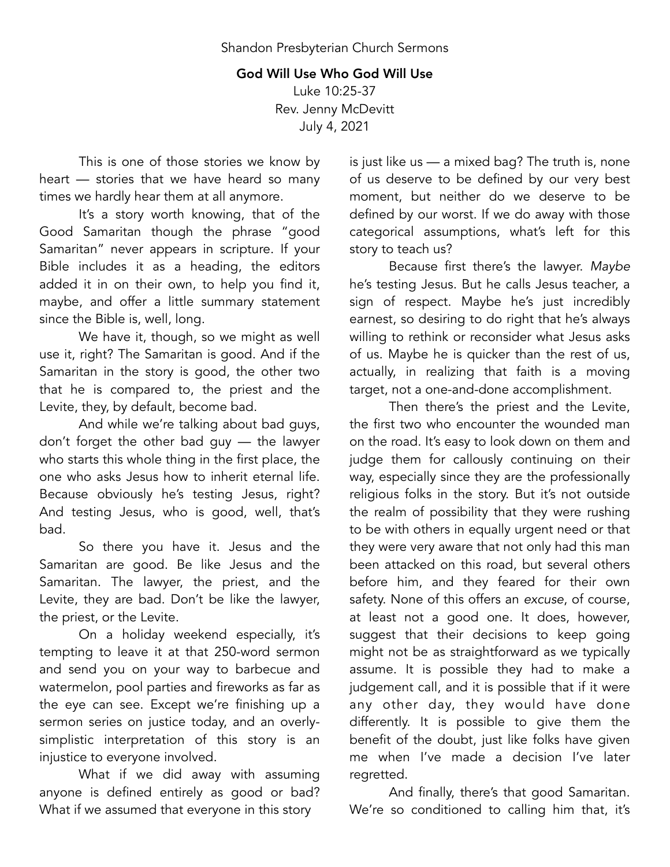## God Will Use Who God Will Use

Luke 10:25-37 Rev. Jenny McDevitt July 4, 2021

This is one of those stories we know by heart — stories that we have heard so many times we hardly hear them at all anymore.

It's a story worth knowing, that of the Good Samaritan though the phrase "good Samaritan" never appears in scripture. If your Bible includes it as a heading, the editors added it in on their own, to help you find it, maybe, and offer a little summary statement since the Bible is, well, long.

We have it, though, so we might as well use it, right? The Samaritan is good. And if the Samaritan in the story is good, the other two that he is compared to, the priest and the Levite, they, by default, become bad.

And while we're talking about bad guys, don't forget the other bad guy — the lawyer who starts this whole thing in the first place, the one who asks Jesus how to inherit eternal life. Because obviously he's testing Jesus, right? And testing Jesus, who is good, well, that's bad.

So there you have it. Jesus and the Samaritan are good. Be like Jesus and the Samaritan. The lawyer, the priest, and the Levite, they are bad. Don't be like the lawyer, the priest, or the Levite.

On a holiday weekend especially, it's tempting to leave it at that 250-word sermon and send you on your way to barbecue and watermelon, pool parties and fireworks as far as the eye can see. Except we're finishing up a sermon series on justice today, and an overlysimplistic interpretation of this story is an injustice to everyone involved.

What if we did away with assuming anyone is defined entirely as good or bad? What if we assumed that everyone in this story

is just like us — a mixed bag? The truth is, none of us deserve to be defined by our very best moment, but neither do we deserve to be defined by our worst. If we do away with those categorical assumptions, what's left for this story to teach us?

Because first there's the lawyer. *Maybe* he's testing Jesus. But he calls Jesus teacher, a sign of respect. Maybe he's just incredibly earnest, so desiring to do right that he's always willing to rethink or reconsider what Jesus asks of us. Maybe he is quicker than the rest of us, actually, in realizing that faith is a moving target, not a one-and-done accomplishment.

Then there's the priest and the Levite, the first two who encounter the wounded man on the road. It's easy to look down on them and judge them for callously continuing on their way, especially since they are the professionally religious folks in the story. But it's not outside the realm of possibility that they were rushing to be with others in equally urgent need or that they were very aware that not only had this man been attacked on this road, but several others before him, and they feared for their own safety. None of this offers an *excuse*, of course, at least not a good one. It does, however, suggest that their decisions to keep going might not be as straightforward as we typically assume. It is possible they had to make a judgement call, and it is possible that if it were any other day, they would have done differently. It is possible to give them the benefit of the doubt, just like folks have given me when I've made a decision I've later regretted.

And finally, there's that good Samaritan. We're so conditioned to calling him that, it's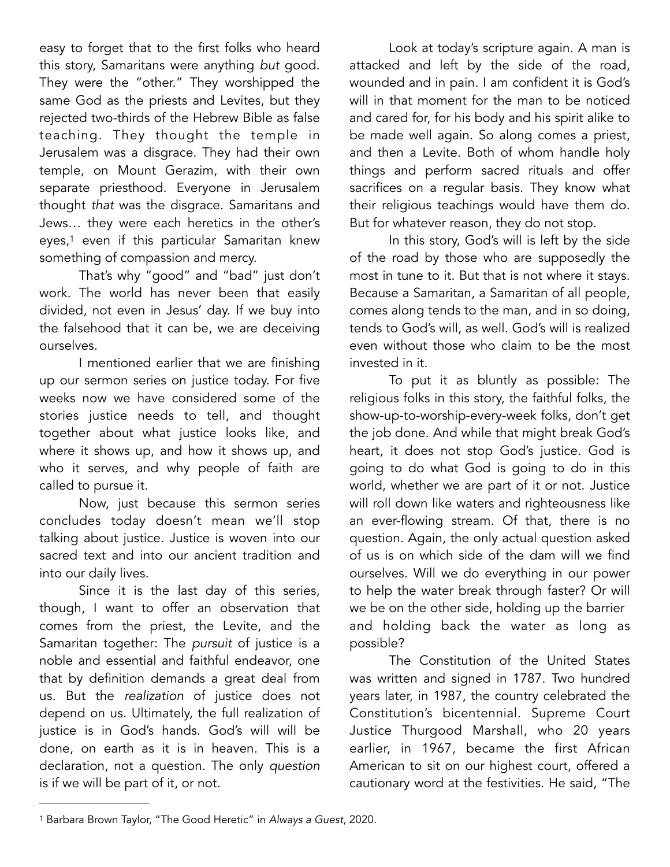easy to forget that to the first folks who heard this story, Samaritans were anything *but* good. They were the "other." They worshipped the same God as the priests and Levites, but they rejected two-thirds of the Hebrew Bible as false teaching. They thought the temple in Jerusalem was a disgrace. They had their own temple, on Mount Gerazim, with their own separate priesthood. Everyone in Jerusalem thought *that* was the disgrace. Samaritans and Jews… they were each heretics in the other's eyes,<sup>[1](#page-1-0)</sup> even if this particular Samaritan knew something of compassion and mercy.

<span id="page-1-1"></span>That's why "good" and "bad" just don't work. The world has never been that easily divided, not even in Jesus' day. If we buy into the falsehood that it can be, we are deceiving ourselves.

I mentioned earlier that we are finishing up our sermon series on justice today. For five weeks now we have considered some of the stories justice needs to tell, and thought together about what justice looks like, and where it shows up, and how it shows up, and who it serves, and why people of faith are called to pursue it.

Now, just because this sermon series concludes today doesn't mean we'll stop talking about justice. Justice is woven into our sacred text and into our ancient tradition and into our daily lives.

Since it is the last day of this series, though, I want to offer an observation that comes from the priest, the Levite, and the Samaritan together: The *pursuit* of justice is a noble and essential and faithful endeavor, one that by definition demands a great deal from us. But the *realization* of justice does not depend on us. Ultimately, the full realization of justice is in God's hands. God's will will be done, on earth as it is in heaven. This is a declaration, not a question. The only *question* is if we will be part of it, or not.

Look at today's scripture again. A man is attacked and left by the side of the road, wounded and in pain. I am confident it is God's will in that moment for the man to be noticed and cared for, for his body and his spirit alike to be made well again. So along comes a priest, and then a Levite. Both of whom handle holy things and perform sacred rituals and offer sacrifices on a regular basis. They know what their religious teachings would have them do. But for whatever reason, they do not stop.

In this story, God's will is left by the side of the road by those who are supposedly the most in tune to it. But that is not where it stays. Because a Samaritan, a Samaritan of all people, comes along tends to the man, and in so doing, tends to God's will, as well. God's will is realized even without those who claim to be the most invested in it.

To put it as bluntly as possible: The religious folks in this story, the faithful folks, the show-up-to-worship-every-week folks, don't get the job done. And while that might break God's heart, it does not stop God's justice. God is going to do what God is going to do in this world, whether we are part of it or not. Justice will roll down like waters and righteousness like an ever-flowing stream. Of that, there is no question. Again, the only actual question asked of us is on which side of the dam will we find ourselves. Will we do everything in our power to help the water break through faster? Or will we be on the other side, holding up the barrier and holding back the water as long as possible?

The Constitution of the United States was written and signed in 1787. Two hundred years later, in 1987, the country celebrated the Constitution's bicentennial. Supreme Court Justice Thurgood Marshall, who 20 years earlier, in 1967, became the first African American to sit on our highest court, offered a cautionary word at the festivities. He said, "The

<span id="page-1-0"></span><sup>&</sup>lt;sup>[1](#page-1-1)</sup> Barbara Brown Taylor, "The Good Heretic" in Always a Guest, 2020.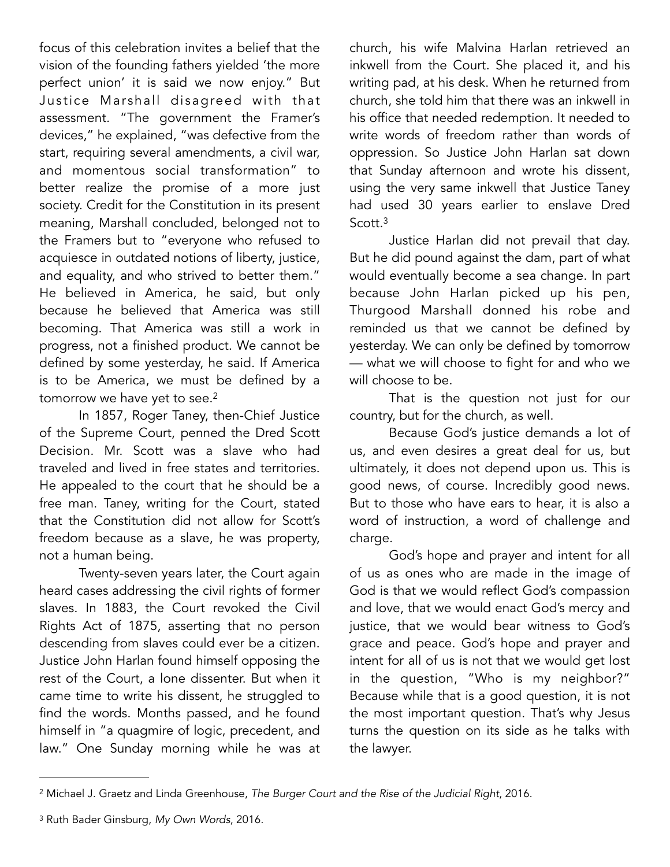focus of this celebration invites a belief that the vision of the founding fathers yielded 'the more perfect union' it is said we now enjoy." But Justice Marshall disagreed with that assessment. "The government the Framer's devices," he explained, "was defective from the start, requiring several amendments, a civil war, and momentous social transformation" to better realize the promise of a more just society. Credit for the Constitution in its present meaning, Marshall concluded, belonged not to the Framers but to "everyone who refused to acquiesce in outdated notions of liberty, justice, and equality, and who strived to better them." He believed in America, he said, but only because he believed that America was still becoming. That America was still a work in progress, not a finished product. We cannot be defined by some yesterday, he said. If America is to be America, we must be defined by a tomorrow we have yet to see.<sup>[2](#page-2-0)</sup>

In 1857, Roger Taney, then-Chief Justice of the Supreme Court, penned the Dred Scott Decision. Mr. Scott was a slave who had traveled and lived in free states and territories. He appealed to the court that he should be a free man. Taney, writing for the Court, stated that the Constitution did not allow for Scott's freedom because as a slave, he was property, not a human being.

Twenty-seven years later, the Court again heard cases addressing the civil rights of former slaves. In 1883, the Court revoked the Civil Rights Act of 1875, asserting that no person descending from slaves could ever be a citizen. Justice John Harlan found himself opposing the rest of the Court, a lone dissenter. But when it came time to write his dissent, he struggled to find the words. Months passed, and he found himself in "a quagmire of logic, precedent, and law." One Sunday morning while he was at

church, his wife Malvina Harlan retrieved an inkwell from the Court. She placed it, and his writing pad, at his desk. When he returned from church, she told him that there was an inkwell in his office that needed redemption. It needed to write words of freedom rather than words of oppression. So Justice John Harlan sat down that Sunday afternoon and wrote his dissent, using the very same inkwell that Justice Taney had used 30 years earlier to enslave Dred Scott[.3](#page-2-1)

<span id="page-2-3"></span>Justice Harlan did not prevail that day. But he did pound against the dam, part of what would eventually become a sea change. In part because John Harlan picked up his pen, Thurgood Marshall donned his robe and reminded us that we cannot be defined by yesterday. We can only be defined by tomorrow — what we will choose to fight for and who we will choose to be.

<span id="page-2-2"></span>That is the question not just for our country, but for the church, as well.

Because God's justice demands a lot of us, and even desires a great deal for us, but ultimately, it does not depend upon us. This is good news, of course. Incredibly good news. But to those who have ears to hear, it is also a word of instruction, a word of challenge and charge.

God's hope and prayer and intent for all of us as ones who are made in the image of God is that we would reflect God's compassion and love, that we would enact God's mercy and justice, that we would bear witness to God's grace and peace. God's hope and prayer and intent for all of us is not that we would get lost in the question, "Who is my neighbor?" Because while that is a good question, it is not the most important question. That's why Jesus turns the question on its side as he talks with the lawyer.

<span id="page-2-0"></span>Michael J. Graetz and Linda Greenhouse, *The Burger Court and the Rise of the Judicial Right*, 2016. [2](#page-2-2)

<span id="page-2-1"></span><sup>&</sup>lt;sup>[3](#page-2-3)</sup> Ruth Bader Ginsburg, My Own Words, 2016.